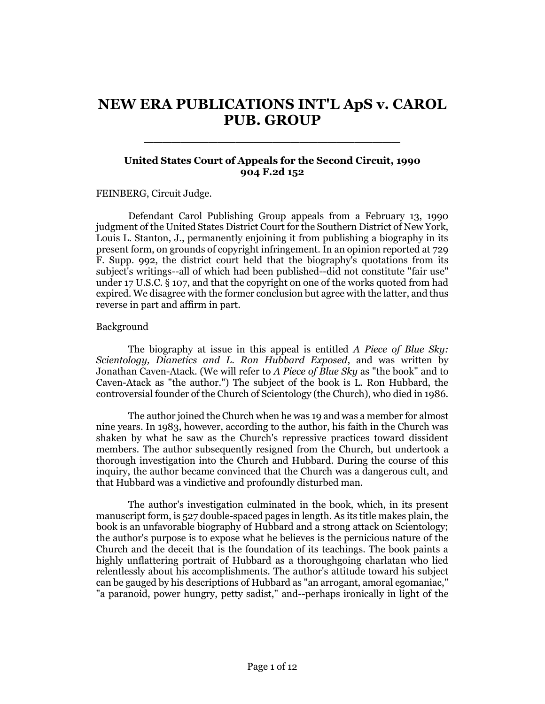# **NEW ERA PUBLICATIONS INT'L ApS v. CAROL PUB. GROUP**

\_\_\_\_\_\_\_\_\_\_\_\_\_\_\_\_\_\_\_\_\_\_\_\_\_\_\_\_

# **United States Court of Appeals for the Second Circuit, 1990 904 F.2d 152**

FEINBERG, Circuit Judge.

Defendant Carol Publishing Group appeals from a February 13, 1990 judgment of the United States District Court for the Southern District of New York, Louis L. Stanton, J., permanently enjoining it from publishing a biography in its present form, on grounds of copyright infringement. In an opinion reported at 729 F. Supp. 992, the district court held that the biography's quotations from its subject's writings--all of which had been published--did not constitute "fair use" under 17 U.S.C. § 107, and that the copyright on one of the works quoted from had expired. We disagree with the former conclusion but agree with the latter, and thus reverse in part and affirm in part.

### Background

The biography at issue in this appeal is entitled *A Piece of Blue Sky: Scientology, Dianetics and L. Ron Hubbard Exposed*, and was written by Jonathan Caven-Atack. (We will refer to *A Piece of Blue Sky* as "the book" and to Caven-Atack as "the author.") The subject of the book is L. Ron Hubbard, the controversial founder of the Church of Scientology (the Church), who died in 1986.

The author joined the Church when he was 19 and was a member for almost nine years. In 1983, however, according to the author, his faith in the Church was shaken by what he saw as the Church's repressive practices toward dissident members. The author subsequently resigned from the Church, but undertook a thorough investigation into the Church and Hubbard. During the course of this inquiry, the author became convinced that the Church was a dangerous cult, and that Hubbard was a vindictive and profoundly disturbed man.

The author's investigation culminated in the book, which, in its present manuscript form, is 527 double-spaced pages in length. As its title makes plain, the book is an unfavorable biography of Hubbard and a strong attack on Scientology; the author's purpose is to expose what he believes is the pernicious nature of the Church and the deceit that is the foundation of its teachings. The book paints a highly unflattering portrait of Hubbard as a thoroughgoing charlatan who lied relentlessly about his accomplishments. The author's attitude toward his subject can be gauged by his descriptions of Hubbard as "an arrogant, amoral egomaniac," "a paranoid, power hungry, petty sadist," and--perhaps ironically in light of the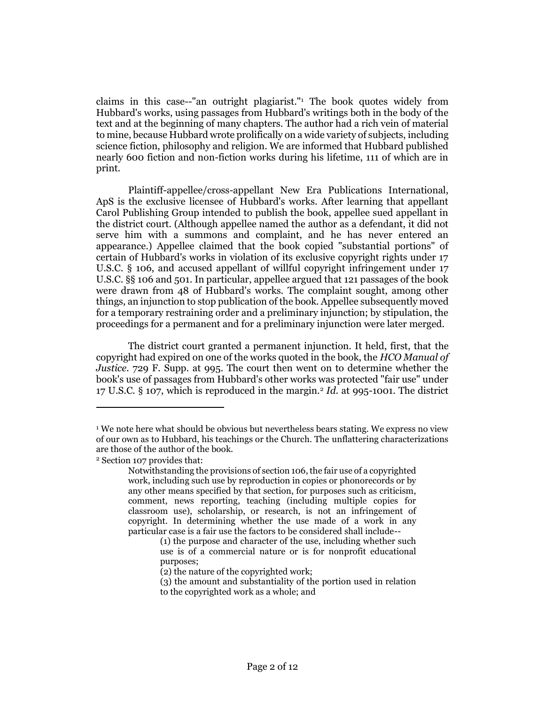claims in this case--"an outright plagiarist." $\frac{1}{1}$  The book quotes widely from Hubbard's works, using passages from Hubbard's writings both in the body of the text and at the beginning of many chapters. The author had a rich vein of material to mine, because Hubbard wrote prolifically on a wide variety of subjects, including science fiction, philosophy and religion. We are informed that Hubbard published nearly 600 fiction and non-fiction works during his lifetime, 111 of which are in print.

Plaintiff-appellee/cross-appellant New Era Publications International, ApS is the exclusive licensee of Hubbard's works. After learning that appellant Carol Publishing Group intended to publish the book, appellee sued appellant in the district court. (Although appellee named the author as a defendant, it did not serve him with a summons and complaint, and he has never entered an appearance.) Appellee claimed that the book copied "substantial portions" of certain of Hubbard's works in violation of its exclusive copyright rights under 17 U.S.C. § 106, and accused appellant of willful copyright infringement under 17 U.S.C. §§ 106 and 501. In particular, appellee argued that 121 passages of the book were drawn from 48 of Hubbard's works. The complaint sought, among other things, an injunction to stop publication of the book. Appellee subsequently moved for a temporary restraining order and a preliminary injunction; by stipulation, the proceedings for a permanent and for a preliminary injunction were later merged.

The district court granted a permanent injunction. It held, first, that the copyright had expired on one of the works quoted in the book, the *HCO Manual of Justice*. 729 F. Supp. at 995. The court then went on to determine whether the book's use of passages from Hubbard's other works was protected "fair use" under 17 U.S.C. § 107, which is reproduced in the margin.<sup>2</sup> *Id.* at 995-1001. The district

<sup>2</sup> Section 107 provides that:

 $\overline{a}$ 

<sup>1</sup> We note here what should be obvious but nevertheless bears stating. We express no view of our own as to Hubbard, his teachings or the Church. The unflattering characterizations are those of the author of the book.

Notwithstanding the provisions of section 106, the fair use of a copyrighted work, including such use by reproduction in copies or phonorecords or by any other means specified by that section, for purposes such as criticism, comment, news reporting, teaching (including multiple copies for classroom use), scholarship, or research, is not an infringement of copyright. In determining whether the use made of a work in any particular case is a fair use the factors to be considered shall include--

<sup>(1)</sup> the purpose and character of the use, including whether such use is of a commercial nature or is for nonprofit educational purposes;

<sup>(2)</sup> the nature of the copyrighted work;

<sup>(3)</sup> the amount and substantiality of the portion used in relation to the copyrighted work as a whole; and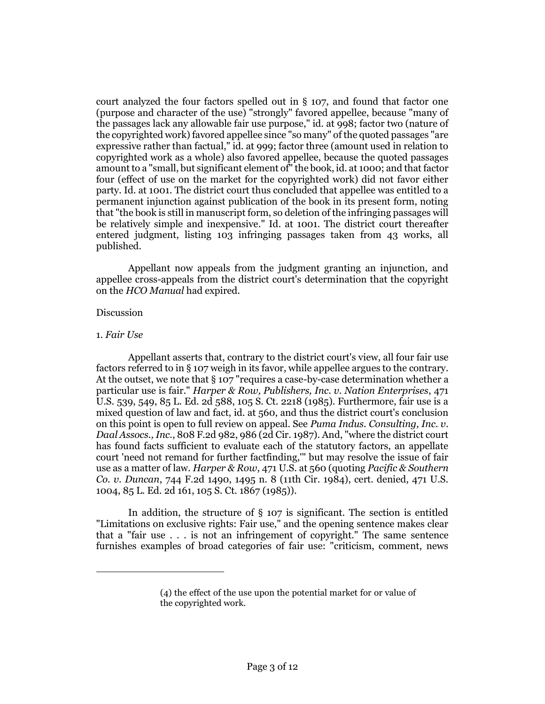court analyzed the four factors spelled out in § 107, and found that factor one (purpose and character of the use) "strongly" favored appellee, because "many of the passages lack any allowable fair use purpose," id. at 998; factor two (nature of the copyrighted work) favored appellee since "so many" of the quoted passages "are expressive rather than factual," id. at 999; factor three (amount used in relation to copyrighted work as a whole) also favored appellee, because the quoted passages amount to a "small, but significant element of" the book, id. at 1000; and that factor four (effect of use on the market for the copyrighted work) did not favor either party. Id. at 1001. The district court thus concluded that appellee was entitled to a permanent injunction against publication of the book in its present form, noting that "the book is still in manuscript form, so deletion of the infringing passages will be relatively simple and inexpensive." Id. at 1001. The district court thereafter entered judgment, listing 103 infringing passages taken from 43 works, all published.

Appellant now appeals from the judgment granting an injunction, and appellee cross-appeals from the district court's determination that the copyright on the *HCO Manual* had expired.

#### Discussion

#### 1. *Fair Use*

 $\overline{a}$ 

Appellant asserts that, contrary to the district court's view, all four fair use factors referred to in § 107 weigh in its favor, while appellee argues to the contrary. At the outset, we note that § 107 "requires a case-by-case determination whether a particular use is fair." *Harper & Row, Publishers, Inc. v. Nation Enterprises*, 471 U.S. 539, 549, 85 L. Ed. 2d 588, 105 S. Ct. 2218 (1985). Furthermore, fair use is a mixed question of law and fact, id. at 560, and thus the district court's conclusion on this point is open to full review on appeal. See *Puma Indus. Consulting, Inc. v. Daal Assocs., Inc.*, 808 F.2d 982, 986 (2d Cir. 1987). And, "where the district court has found facts sufficient to evaluate each of the statutory factors, an appellate court 'need not remand for further factfinding,'" but may resolve the issue of fair use as a matter of law. *Harper & Row*, 471 U.S. at 560 (quoting *Pacific & Southern Co. v. Duncan*, 744 F.2d 1490, 1495 n. 8 (11th Cir. 1984), cert. denied, 471 U.S. 1004, 85 L. Ed. 2d 161, 105 S. Ct. 1867 (1985)).

In addition, the structure of § 107 is significant. The section is entitled "Limitations on exclusive rights: Fair use," and the opening sentence makes clear that a "fair use . . . is not an infringement of copyright." The same sentence furnishes examples of broad categories of fair use: "criticism, comment, news

<sup>(4)</sup> the effect of the use upon the potential market for or value of the copyrighted work.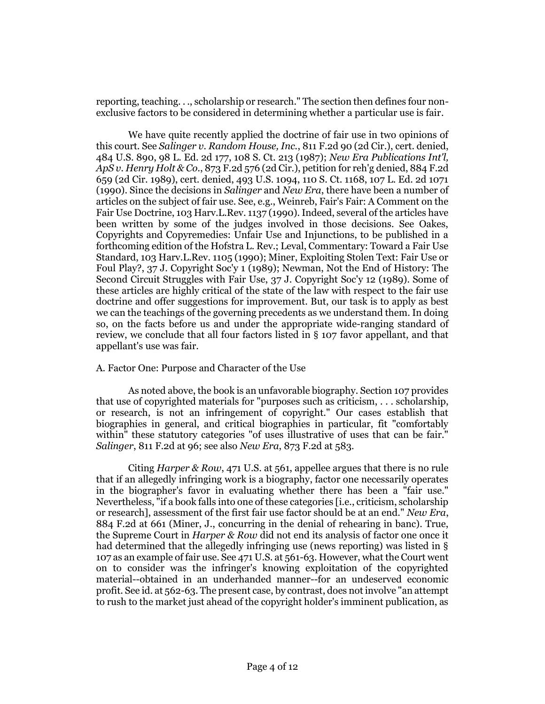reporting, teaching. . ., scholarship or research." The section then defines four nonexclusive factors to be considered in determining whether a particular use is fair.

We have quite recently applied the doctrine of fair use in two opinions of this court. See *Salinger v. Random House, Inc.*, 811 F.2d 90 (2d Cir.), cert. denied, 484 U.S. 890, 98 L. Ed. 2d 177, 108 S. Ct. 213 (1987); *New Era Publications Int'l, ApS v. Henry Holt & Co.*, 873 F.2d 576 (2d Cir.), petition for reh'g denied, 884 F.2d 659 (2d Cir. 1989), cert. denied, 493 U.S. 1094, 110 S. Ct. 1168, 107 L. Ed. 2d 1071 (1990). Since the decisions in *Salinger* and *New Era*, there have been a number of articles on the subject of fair use. See, e.g., Weinreb, Fair's Fair: A Comment on the Fair Use Doctrine, 103 Harv.L.Rev. 1137 (1990). Indeed, several of the articles have been written by some of the judges involved in those decisions. See Oakes, Copyrights and Copyremedies: Unfair Use and Injunctions, to be published in a forthcoming edition of the Hofstra L. Rev.; Leval, Commentary: Toward a Fair Use Standard, 103 Harv.L.Rev. 1105 (1990); Miner, Exploiting Stolen Text: Fair Use or Foul Play?, 37 J. Copyright Soc'y 1 (1989); Newman, Not the End of History: The Second Circuit Struggles with Fair Use, 37 J. Copyright Soc'y 12 (1989). Some of these articles are highly critical of the state of the law with respect to the fair use doctrine and offer suggestions for improvement. But, our task is to apply as best we can the teachings of the governing precedents as we understand them. In doing so, on the facts before us and under the appropriate wide-ranging standard of review, we conclude that all four factors listed in § 107 favor appellant, and that appellant's use was fair.

## A. Factor One: Purpose and Character of the Use

As noted above, the book is an unfavorable biography. Section 107 provides that use of copyrighted materials for "purposes such as criticism, . . . scholarship, or research, is not an infringement of copyright." Our cases establish that biographies in general, and critical biographies in particular, fit "comfortably within" these statutory categories "of uses illustrative of uses that can be fair." *Salinger*, 811 F.2d at 96; see also *New Era*, 873 F.2d at 583.

Citing *Harper & Row*, 471 U.S. at 561, appellee argues that there is no rule that if an allegedly infringing work is a biography, factor one necessarily operates in the biographer's favor in evaluating whether there has been a "fair use." Nevertheless, "if a book falls into one of these categories [i.e., criticism, scholarship or research], assessment of the first fair use factor should be at an end." *New Era*, 884 F.2d at 661 (Miner, J., concurring in the denial of rehearing in banc). True, the Supreme Court in *Harper & Row* did not end its analysis of factor one once it had determined that the allegedly infringing use (news reporting) was listed in § 107 as an example of fair use. See 471 U.S. at 561-63. However, what the Court went on to consider was the infringer's knowing exploitation of the copyrighted material--obtained in an underhanded manner--for an undeserved economic profit. See id. at 562-63. The present case, by contrast, does not involve "an attempt to rush to the market just ahead of the copyright holder's imminent publication, as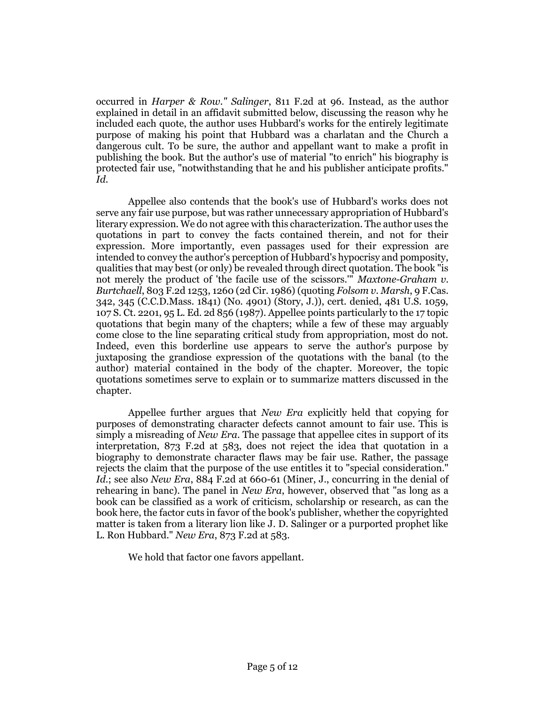occurred in *Harper & Row." Salinger*, 811 F.2d at 96. Instead, as the author explained in detail in an affidavit submitted below, discussing the reason why he included each quote, the author uses Hubbard's works for the entirely legitimate purpose of making his point that Hubbard was a charlatan and the Church a dangerous cult. To be sure, the author and appellant want to make a profit in publishing the book. But the author's use of material "to enrich" his biography is protected fair use, "notwithstanding that he and his publisher anticipate profits." *Id.*

Appellee also contends that the book's use of Hubbard's works does not serve any fair use purpose, but was rather unnecessary appropriation of Hubbard's literary expression. We do not agree with this characterization. The author uses the quotations in part to convey the facts contained therein, and not for their expression. More importantly, even passages used for their expression are intended to convey the author's perception of Hubbard's hypocrisy and pomposity, qualities that may best (or only) be revealed through direct quotation. The book "is not merely the product of 'the facile use of the scissors.'" *Maxtone-Graham v. Burtchaell*, 803 F.2d 1253, 1260 (2d Cir. 1986) (quoting *Folsom v. Marsh*, 9 F.Cas. 342, 345 (C.C.D.Mass. 1841) (No. 4901) (Story, J.)), cert. denied, 481 U.S. 1059, 107 S. Ct. 2201, 95 L. Ed. 2d 856 (1987). Appellee points particularly to the 17 topic quotations that begin many of the chapters; while a few of these may arguably come close to the line separating critical study from appropriation, most do not. Indeed, even this borderline use appears to serve the author's purpose by juxtaposing the grandiose expression of the quotations with the banal (to the author) material contained in the body of the chapter. Moreover, the topic quotations sometimes serve to explain or to summarize matters discussed in the chapter.

Appellee further argues that *New Era* explicitly held that copying for purposes of demonstrating character defects cannot amount to fair use. This is simply a misreading of *New Era*. The passage that appellee cites in support of its interpretation, 873 F.2d at 583, does not reject the idea that quotation in a biography to demonstrate character flaws may be fair use. Rather, the passage rejects the claim that the purpose of the use entitles it to "special consideration." *Id.*; see also *New Era*, 884 F.2d at 660-61 (Miner, J., concurring in the denial of rehearing in banc). The panel in *New Era*, however, observed that "as long as a book can be classified as a work of criticism, scholarship or research, as can the book here, the factor cuts in favor of the book's publisher, whether the copyrighted matter is taken from a literary lion like J. D. Salinger or a purported prophet like L. Ron Hubbard." *New Era*, 873 F.2d at 583.

We hold that factor one favors appellant.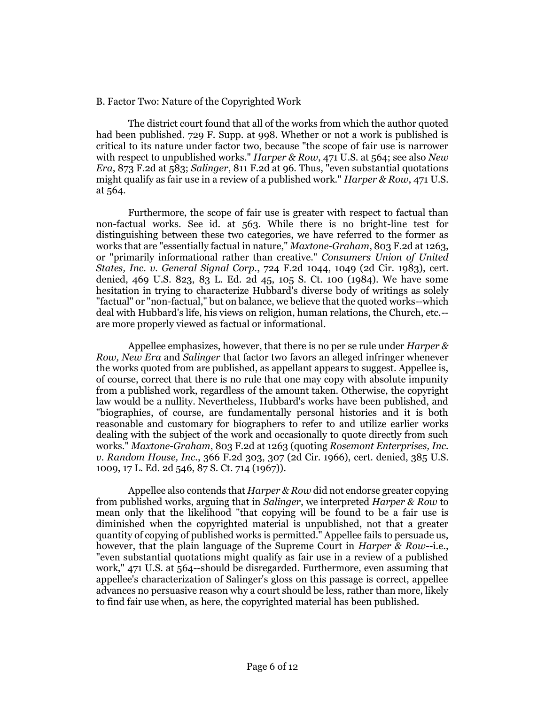#### B. Factor Two: Nature of the Copyrighted Work

The district court found that all of the works from which the author quoted had been published. 729 F. Supp. at 998. Whether or not a work is published is critical to its nature under factor two, because "the scope of fair use is narrower with respect to unpublished works." *Harper & Row*, 471 U.S. at 564; see also *New Era*, 873 F.2d at 583; *Salinger*, 811 F.2d at 96. Thus, "even substantial quotations might qualify as fair use in a review of a published work." *Harper & Row*, 471 U.S. at 564.

Furthermore, the scope of fair use is greater with respect to factual than non-factual works. See id. at 563. While there is no bright-line test for distinguishing between these two categories, we have referred to the former as works that are "essentially factual in nature," *Maxtone-Graham*, 803 F.2d at 1263, or "primarily informational rather than creative." *Consumers Union of United States, Inc. v. General Signal Corp.*, 724 F.2d 1044, 1049 (2d Cir. 1983), cert. denied, 469 U.S. 823, 83 L. Ed. 2d 45, 105 S. Ct. 100 (1984). We have some hesitation in trying to characterize Hubbard's diverse body of writings as solely "factual" or "non-factual," but on balance, we believe that the quoted works--which deal with Hubbard's life, his views on religion, human relations, the Church, etc.- are more properly viewed as factual or informational.

Appellee emphasizes, however, that there is no per se rule under *Harper & Row, New Era* and *Salinger* that factor two favors an alleged infringer whenever the works quoted from are published, as appellant appears to suggest. Appellee is, of course, correct that there is no rule that one may copy with absolute impunity from a published work, regardless of the amount taken. Otherwise, the copyright law would be a nullity. Nevertheless, Hubbard's works have been published, and "biographies, of course, are fundamentally personal histories and it is both reasonable and customary for biographers to refer to and utilize earlier works dealing with the subject of the work and occasionally to quote directly from such works." *Maxtone-Graham*, 803 F.2d at 1263 (quoting *Rosemont Enterprises, Inc. v. Random House, Inc.*, 366 F.2d 303, 307 (2d Cir. 1966), cert. denied, 385 U.S. 1009, 17 L. Ed. 2d 546, 87 S. Ct. 714 (1967)).

Appellee also contends that *Harper & Row* did not endorse greater copying from published works, arguing that in *Salinger*, we interpreted *Harper & Row* to mean only that the likelihood "that copying will be found to be a fair use is diminished when the copyrighted material is unpublished, not that a greater quantity of copying of published works is permitted." Appellee fails to persuade us, however, that the plain language of the Supreme Court in *Harper & Row*--i.e., "even substantial quotations might qualify as fair use in a review of a published work," 471 U.S. at 564--should be disregarded. Furthermore, even assuming that appellee's characterization of Salinger's gloss on this passage is correct, appellee advances no persuasive reason why a court should be less, rather than more, likely to find fair use when, as here, the copyrighted material has been published.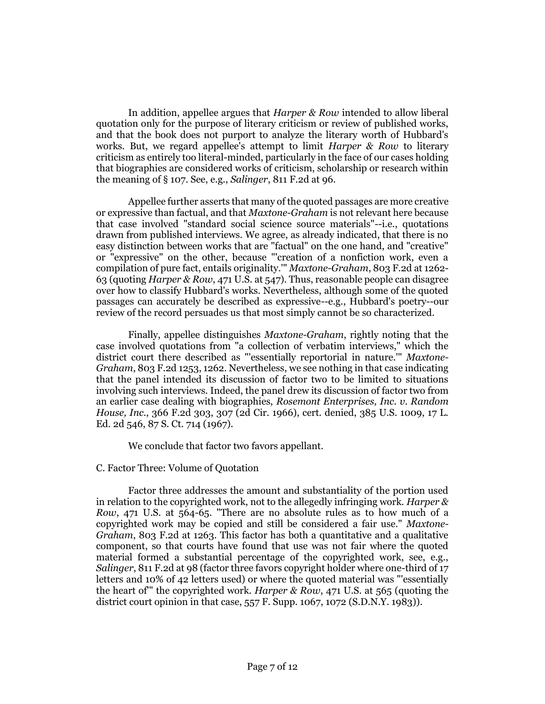In addition, appellee argues that *Harper & Row* intended to allow liberal quotation only for the purpose of literary criticism or review of published works, and that the book does not purport to analyze the literary worth of Hubbard's works. But, we regard appellee's attempt to limit *Harper & Row* to literary criticism as entirely too literal-minded, particularly in the face of our cases holding that biographies are considered works of criticism, scholarship or research within the meaning of § 107. See, e.g., *Salinger*, 811 F.2d at 96.

Appellee further asserts that many of the quoted passages are more creative or expressive than factual, and that *Maxtone-Graham* is not relevant here because that case involved "standard social science source materials"--i.e., quotations drawn from published interviews. We agree, as already indicated, that there is no easy distinction between works that are "factual" on the one hand, and "creative" or "expressive" on the other, because "'creation of a nonfiction work, even a compilation of pure fact, entails originality.'" *Maxtone-Graham*, 803 F.2d at 1262- 63 (quoting *Harper & Row*, 471 U.S. at 547). Thus, reasonable people can disagree over how to classify Hubbard's works. Nevertheless, although some of the quoted passages can accurately be described as expressive--e.g., Hubbard's poetry--our review of the record persuades us that most simply cannot be so characterized.

Finally, appellee distinguishes *Maxtone-Graham*, rightly noting that the case involved quotations from "a collection of verbatim interviews," which the district court there described as "'essentially reportorial in nature.'" *Maxtone-Graham*, 803 F.2d 1253, 1262. Nevertheless, we see nothing in that case indicating that the panel intended its discussion of factor two to be limited to situations involving such interviews. Indeed, the panel drew its discussion of factor two from an earlier case dealing with biographies, *Rosemont Enterprises, Inc. v. Random House, Inc.*, 366 F.2d 303, 307 (2d Cir. 1966), cert. denied, 385 U.S. 1009, 17 L. Ed. 2d 546, 87 S. Ct. 714 (1967).

We conclude that factor two favors appellant.

C. Factor Three: Volume of Quotation

Factor three addresses the amount and substantiality of the portion used in relation to the copyrighted work, not to the allegedly infringing work. *Harper & Row*, 471 U.S. at 564-65. "There are no absolute rules as to how much of a copyrighted work may be copied and still be considered a fair use." *Maxtone-Graham*, 803 F.2d at 1263. This factor has both a quantitative and a qualitative component, so that courts have found that use was not fair where the quoted material formed a substantial percentage of the copyrighted work, see, e.g., *Salinger*, 811 F.2d at 98 (factor three favors copyright holder where one-third of 17 letters and 10% of 42 letters used) or where the quoted material was "'essentially the heart of'" the copyrighted work. *Harper & Row*, 471 U.S. at 565 (quoting the district court opinion in that case, 557 F. Supp. 1067, 1072 (S.D.N.Y. 1983)).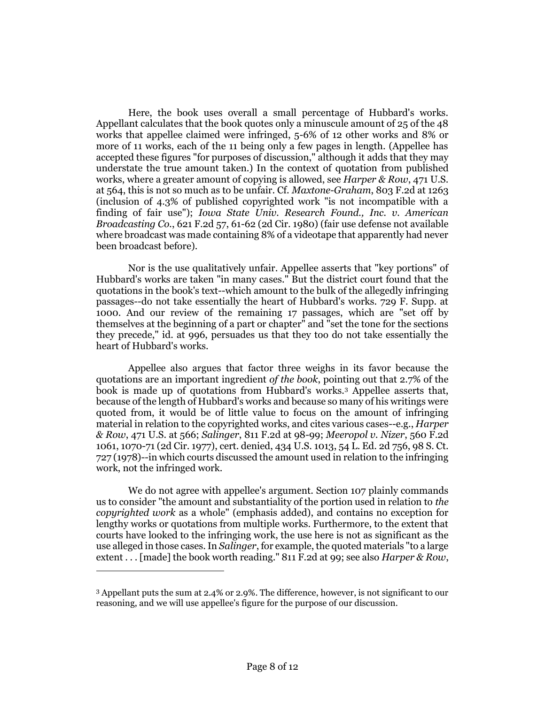Here, the book uses overall a small percentage of Hubbard's works. Appellant calculates that the book quotes only a minuscule amount of 25 of the 48 works that appellee claimed were infringed, 5-6% of 12 other works and 8% or more of 11 works, each of the 11 being only a few pages in length. (Appellee has accepted these figures "for purposes of discussion," although it adds that they may understate the true amount taken.) In the context of quotation from published works, where a greater amount of copying is allowed, see *Harper & Row*, 471 U.S. at 564, this is not so much as to be unfair. Cf. *Maxtone-Graham*, 803 F.2d at 1263 (inclusion of 4.3% of published copyrighted work "is not incompatible with a finding of fair use"); *Iowa State Univ. Research Found., Inc. v. American Broadcasting Co.*, 621 F.2d 57, 61-62 (2d Cir. 1980) (fair use defense not available where broadcast was made containing 8% of a videotape that apparently had never been broadcast before).

Nor is the use qualitatively unfair. Appellee asserts that "key portions" of Hubbard's works are taken "in many cases." But the district court found that the quotations in the book's text--which amount to the bulk of the allegedly infringing passages--do not take essentially the heart of Hubbard's works. 729 F. Supp. at 1000. And our review of the remaining 17 passages, which are "set off by themselves at the beginning of a part or chapter" and "set the tone for the sections they precede," id. at 996, persuades us that they too do not take essentially the heart of Hubbard's works.

Appellee also argues that factor three weighs in its favor because the quotations are an important ingredient *of the book*, pointing out that 2.7% of the book is made up of quotations from Hubbard's works.<sup>3</sup> Appellee asserts that, because of the length of Hubbard's works and because so many of his writings were quoted from, it would be of little value to focus on the amount of infringing material in relation to the copyrighted works, and cites various cases--e.g., *Harper & Row*, 471 U.S. at 566; *Salinger*, 811 F.2d at 98-99; *Meeropol v. Nizer*, 560 F.2d 1061, 1070-71 (2d Cir. 1977), cert. denied, 434 U.S. 1013, 54 L. Ed. 2d 756, 98 S. Ct. 727 (1978)--in which courts discussed the amount used in relation to the infringing work, not the infringed work.

We do not agree with appellee's argument. Section 107 plainly commands us to consider "the amount and substantiality of the portion used in relation to *the copyrighted work* as a whole" (emphasis added), and contains no exception for lengthy works or quotations from multiple works. Furthermore, to the extent that courts have looked to the infringing work, the use here is not as significant as the use alleged in those cases. In *Salinger*, for example, the quoted materials "to a large extent . . . [made] the book worth reading." 811 F.2d at 99; see also *Harper & Row*,

 $\overline{a}$ 

<sup>3</sup> Appellant puts the sum at 2.4% or 2.9%. The difference, however, is not significant to our reasoning, and we will use appellee's figure for the purpose of our discussion.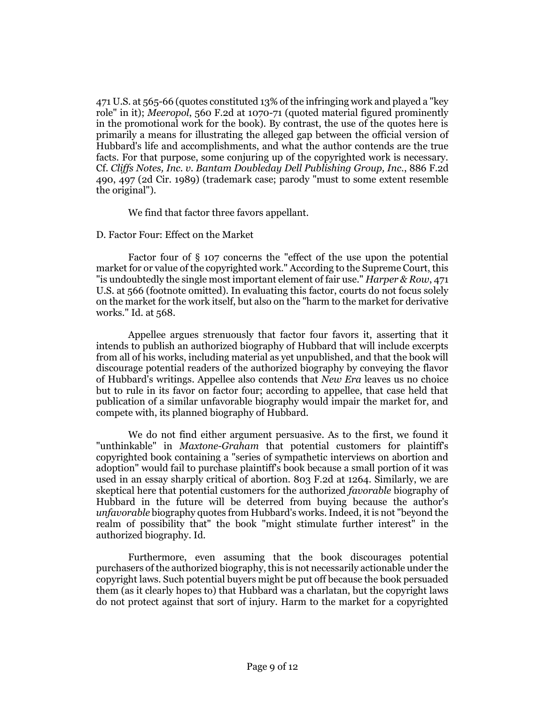471 U.S. at 565-66 (quotes constituted 13% of the infringing work and played a "key role" in it); *Meeropol*, 560 F.2d at 1070-71 (quoted material figured prominently in the promotional work for the book). By contrast, the use of the quotes here is primarily a means for illustrating the alleged gap between the official version of Hubbard's life and accomplishments, and what the author contends are the true facts. For that purpose, some conjuring up of the copyrighted work is necessary. Cf. *Cliffs Notes, Inc. v. Bantam Doubleday Dell Publishing Group, Inc.*, 886 F.2d 490, 497 (2d Cir. 1989) (trademark case; parody "must to some extent resemble the original").

We find that factor three favors appellant.

## D. Factor Four: Effect on the Market

Factor four of § 107 concerns the "effect of the use upon the potential market for or value of the copyrighted work." According to the Supreme Court, this "is undoubtedly the single most important element of fair use." *Harper & Row*, 471 U.S. at 566 (footnote omitted). In evaluating this factor, courts do not focus solely on the market for the work itself, but also on the "harm to the market for derivative works." Id. at 568.

Appellee argues strenuously that factor four favors it, asserting that it intends to publish an authorized biography of Hubbard that will include excerpts from all of his works, including material as yet unpublished, and that the book will discourage potential readers of the authorized biography by conveying the flavor of Hubbard's writings. Appellee also contends that *New Era* leaves us no choice but to rule in its favor on factor four; according to appellee, that case held that publication of a similar unfavorable biography would impair the market for, and compete with, its planned biography of Hubbard.

We do not find either argument persuasive. As to the first, we found it "unthinkable" in *Maxtone-Graham* that potential customers for plaintiff's copyrighted book containing a "series of sympathetic interviews on abortion and adoption" would fail to purchase plaintiff's book because a small portion of it was used in an essay sharply critical of abortion. 803 F.2d at 1264. Similarly, we are skeptical here that potential customers for the authorized *favorable* biography of Hubbard in the future will be deterred from buying because the author's *unfavorable* biography quotes from Hubbard's works. Indeed, it is not "beyond the realm of possibility that" the book "might stimulate further interest" in the authorized biography. Id.

Furthermore, even assuming that the book discourages potential purchasers of the authorized biography, this is not necessarily actionable under the copyright laws. Such potential buyers might be put off because the book persuaded them (as it clearly hopes to) that Hubbard was a charlatan, but the copyright laws do not protect against that sort of injury. Harm to the market for a copyrighted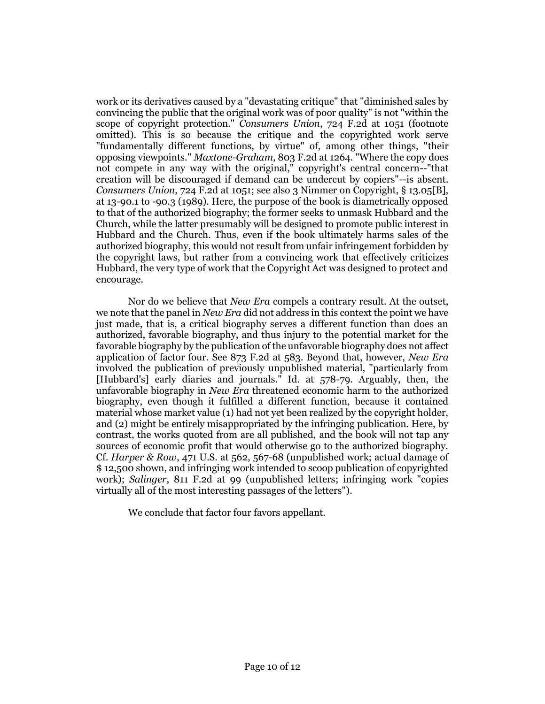work or its derivatives caused by a "devastating critique" that "diminished sales by convincing the public that the original work was of poor quality" is not "within the scope of copyright protection." *Consumers Union*, 724 F.2d at 1051 (footnote omitted). This is so because the critique and the copyrighted work serve "fundamentally different functions, by virtue" of, among other things, "their opposing viewpoints." *Maxtone-Graham*, 803 F.2d at 1264. "Where the copy does not compete in any way with the original," copyright's central concern--"that creation will be discouraged if demand can be undercut by copiers"--is absent. *Consumers Union*, 724 F.2d at 1051; see also 3 Nimmer on Copyright, § 13.05[B], at 13-90.1 to -90.3 (1989). Here, the purpose of the book is diametrically opposed to that of the authorized biography; the former seeks to unmask Hubbard and the Church, while the latter presumably will be designed to promote public interest in Hubbard and the Church. Thus, even if the book ultimately harms sales of the authorized biography, this would not result from unfair infringement forbidden by the copyright laws, but rather from a convincing work that effectively criticizes Hubbard, the very type of work that the Copyright Act was designed to protect and encourage.

Nor do we believe that *New Era* compels a contrary result. At the outset, we note that the panel in *New Era* did not address in this context the point we have just made, that is, a critical biography serves a different function than does an authorized, favorable biography, and thus injury to the potential market for the favorable biography by the publication of the unfavorable biography does not affect application of factor four. See 873 F.2d at 583. Beyond that, however, *New Era* involved the publication of previously unpublished material, "particularly from [Hubbard's] early diaries and journals.<sup>"</sup> Id. at 578-79. Arguably, then, the unfavorable biography in *New Era* threatened economic harm to the authorized biography, even though it fulfilled a different function, because it contained material whose market value (1) had not yet been realized by the copyright holder, and (2) might be entirely misappropriated by the infringing publication. Here, by contrast, the works quoted from are all published, and the book will not tap any sources of economic profit that would otherwise go to the authorized biography. Cf. *Harper & Row*, 471 U.S. at 562, 567-68 (unpublished work; actual damage of \$ 12,500 shown, and infringing work intended to scoop publication of copyrighted work); *Salinger*, 811 F.2d at 99 (unpublished letters; infringing work "copies virtually all of the most interesting passages of the letters").

We conclude that factor four favors appellant.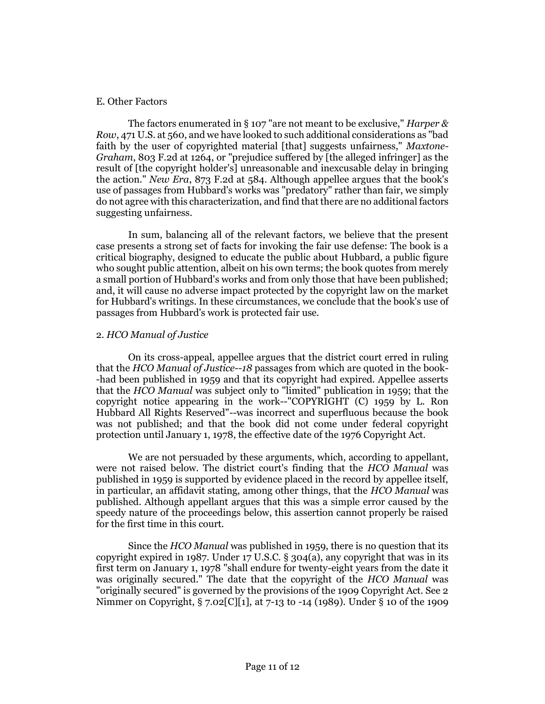#### E. Other Factors

The factors enumerated in § 107 "are not meant to be exclusive," *Harper & Row*, 471 U.S. at 560, and we have looked to such additional considerations as "bad faith by the user of copyrighted material [that] suggests unfairness," *Maxtone-Graham*, 803 F.2d at 1264, or "prejudice suffered by [the alleged infringer] as the result of [the copyright holder's] unreasonable and inexcusable delay in bringing the action." *New Era*, 873 F.2d at 584. Although appellee argues that the book's use of passages from Hubbard's works was "predatory" rather than fair, we simply do not agree with this characterization, and find that there are no additional factors suggesting unfairness.

In sum, balancing all of the relevant factors, we believe that the present case presents a strong set of facts for invoking the fair use defense: The book is a critical biography, designed to educate the public about Hubbard, a public figure who sought public attention, albeit on his own terms; the book quotes from merely a small portion of Hubbard's works and from only those that have been published; and, it will cause no adverse impact protected by the copyright law on the market for Hubbard's writings. In these circumstances, we conclude that the book's use of passages from Hubbard's work is protected fair use.

# 2. *HCO Manual of Justice*

On its cross-appeal, appellee argues that the district court erred in ruling that the *HCO Manual of Justice--18* passages from which are quoted in the book- -had been published in 1959 and that its copyright had expired. Appellee asserts that the *HCO Manual* was subject only to "limited" publication in 1959; that the copyright notice appearing in the work--"COPYRIGHT (C) 1959 by L. Ron Hubbard All Rights Reserved"--was incorrect and superfluous because the book was not published; and that the book did not come under federal copyright protection until January 1, 1978, the effective date of the 1976 Copyright Act.

We are not persuaded by these arguments, which, according to appellant, were not raised below. The district court's finding that the *HCO Manual* was published in 1959 is supported by evidence placed in the record by appellee itself, in particular, an affidavit stating, among other things, that the *HCO Manual* was published. Although appellant argues that this was a simple error caused by the speedy nature of the proceedings below, this assertion cannot properly be raised for the first time in this court.

Since the *HCO Manual* was published in 1959, there is no question that its copyright expired in 1987. Under 17 U.S.C. § 304(a), any copyright that was in its first term on January 1, 1978 "shall endure for twenty-eight years from the date it was originally secured." The date that the copyright of the *HCO Manual* was "originally secured" is governed by the provisions of the 1909 Copyright Act. See 2 Nimmer on Copyright, § 7.02[C][1], at 7-13 to -14 (1989). Under § 10 of the 1909